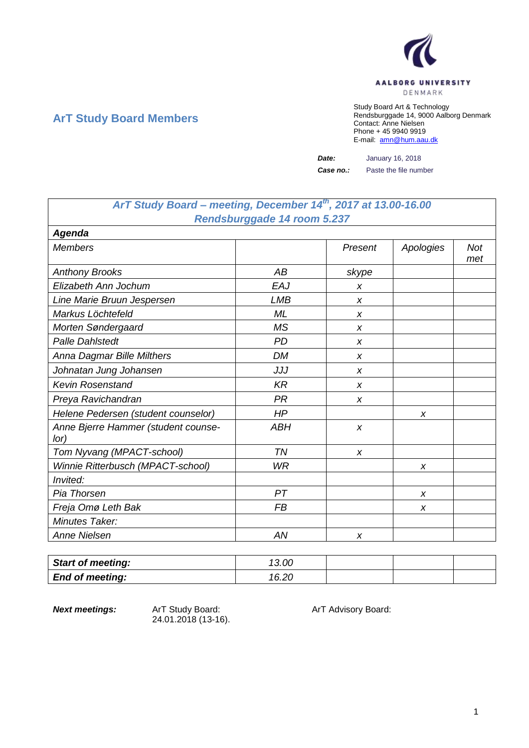

## **ArT Study Board Members**

Study Board Art & Technology Rendsburggade 14, 9000 Aalborg Denmark Contact: Anne Nielsen Phone + 45 9940 9919 E-mail: [amn@hum.aau.dk](mailto:amn@hum.aau.dk)

*Date:* January 16, 2018 *Case no.:* Paste the file number

| ArT Study Board - meeting, December 14th, 2017 at 13.00-16.00 |                                    |  |
|---------------------------------------------------------------|------------------------------------|--|
|                                                               | <b>Rendsburggade 14 room 5.237</b> |  |

| <b>Agenda</b>                               |            |         |           |                   |
|---------------------------------------------|------------|---------|-----------|-------------------|
| <b>Members</b>                              |            | Present | Apologies | <b>Not</b><br>met |
| <b>Anthony Brooks</b>                       | AB         | skype   |           |                   |
| Elizabeth Ann Jochum                        | EAJ        | X       |           |                   |
| Line Marie Bruun Jespersen                  | <b>LMB</b> | X       |           |                   |
| Markus Löchtefeld                           | ML         | X       |           |                   |
| Morten Søndergaard                          | <b>MS</b>  | X       |           |                   |
| <b>Palle Dahlstedt</b>                      | <b>PD</b>  | x       |           |                   |
| Anna Dagmar Bille Milthers                  | <b>DM</b>  | X       |           |                   |
| Johnatan Jung Johansen                      | JJJ        | X       |           |                   |
| <b>Kevin Rosenstand</b>                     | <b>KR</b>  | X       |           |                   |
| Preya Ravichandran                          | <b>PR</b>  | X       |           |                   |
| Helene Pedersen (student counselor)         | HP         |         | X         |                   |
| Anne Bjerre Hammer (student counse-<br>lor) | <b>ABH</b> | X       |           |                   |
| Tom Nyvang (MPACT-school)                   | TN         | X       |           |                   |
| Winnie Ritterbusch (MPACT-school)           | <b>WR</b>  |         | X         |                   |
| Invited:                                    |            |         |           |                   |
| Pia Thorsen                                 | PT         |         | X         |                   |
| Freja Omø Leth Bak                          | <b>FB</b>  |         | X         |                   |
| Minutes Taker:                              |            |         |           |                   |
| <b>Anne Nielsen</b>                         | AN         | X       |           |                   |

| <b>Start of meeting:</b> | 13.00 |  |  |
|--------------------------|-------|--|--|
| <b>End of meeting:</b>   | 16.20 |  |  |

24.01.2018 (13-16).

**Next meetings:** ArT Study Board: ArT Advisory Board: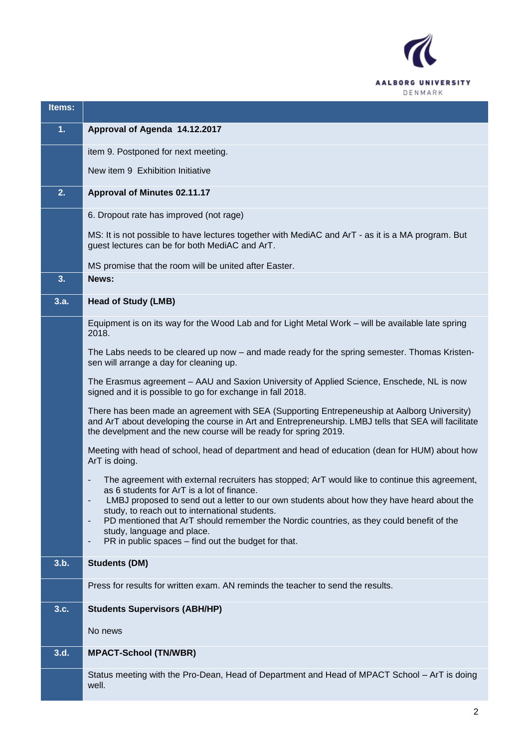

| Items: |                                                                                                                                                                                                                                                                         |  |  |
|--------|-------------------------------------------------------------------------------------------------------------------------------------------------------------------------------------------------------------------------------------------------------------------------|--|--|
| 1.     | Approval of Agenda 14.12.2017                                                                                                                                                                                                                                           |  |  |
|        | item 9. Postponed for next meeting.                                                                                                                                                                                                                                     |  |  |
|        | New item 9 Exhibition Initiative                                                                                                                                                                                                                                        |  |  |
| 2.     | Approval of Minutes 02.11.17                                                                                                                                                                                                                                            |  |  |
|        | 6. Dropout rate has improved (not rage)                                                                                                                                                                                                                                 |  |  |
|        | MS: It is not possible to have lectures together with MediAC and ArT - as it is a MA program. But<br>guest lectures can be for both MediAC and ArT.                                                                                                                     |  |  |
|        | MS promise that the room will be united after Easter.                                                                                                                                                                                                                   |  |  |
| 3.     | News:                                                                                                                                                                                                                                                                   |  |  |
| 3.a.   | <b>Head of Study (LMB)</b>                                                                                                                                                                                                                                              |  |  |
|        | Equipment is on its way for the Wood Lab and for Light Metal Work - will be available late spring<br>2018.                                                                                                                                                              |  |  |
|        | The Labs needs to be cleared up now – and made ready for the spring semester. Thomas Kristen-<br>sen will arrange a day for cleaning up.                                                                                                                                |  |  |
|        | The Erasmus agreement - AAU and Saxion University of Applied Science, Enschede, NL is now<br>signed and it is possible to go for exchange in fall 2018.                                                                                                                 |  |  |
|        | There has been made an agreement with SEA (Supporting Entrepeneuship at Aalborg University)<br>and ArT about developing the course in Art and Entrepreneurship. LMBJ tells that SEA will facilitate<br>the develpment and the new course will be ready for spring 2019. |  |  |
|        | Meeting with head of school, head of department and head of education (dean for HUM) about how<br>ArT is doing.                                                                                                                                                         |  |  |
|        | The agreement with external recruiters has stopped; ArT would like to continue this agreement,<br>as 6 students for ArT is a lot of finance.                                                                                                                            |  |  |
|        | LMBJ proposed to send out a letter to our own students about how they have heard about the<br>study, to reach out to international students.                                                                                                                            |  |  |
|        | PD mentioned that ArT should remember the Nordic countries, as they could benefit of the<br>study, language and place.                                                                                                                                                  |  |  |
|        | PR in public spaces – find out the budget for that.<br>$\qquad \qquad \blacksquare$                                                                                                                                                                                     |  |  |
| 3.b.   | <b>Students (DM)</b>                                                                                                                                                                                                                                                    |  |  |
|        | Press for results for written exam. AN reminds the teacher to send the results.                                                                                                                                                                                         |  |  |
| 3.c.   | <b>Students Supervisors (ABH/HP)</b>                                                                                                                                                                                                                                    |  |  |
|        | No news                                                                                                                                                                                                                                                                 |  |  |
| 3.d.   | <b>MPACT-School (TN/WBR)</b>                                                                                                                                                                                                                                            |  |  |
|        | Status meeting with the Pro-Dean, Head of Department and Head of MPACT School - ArT is doing<br>well.                                                                                                                                                                   |  |  |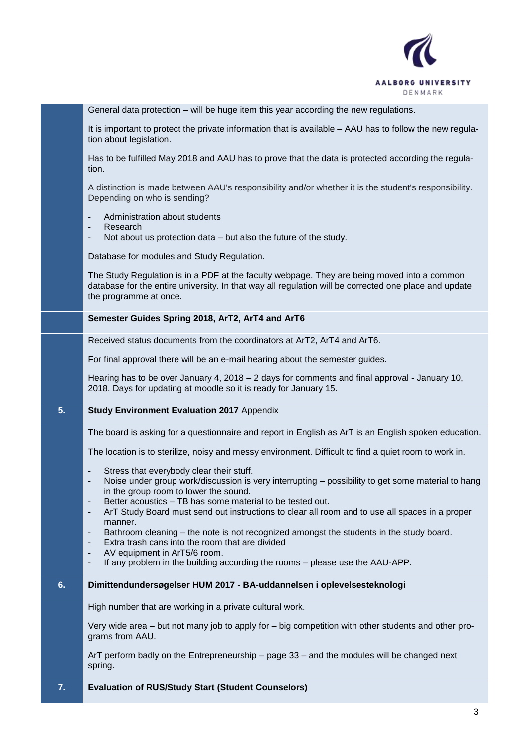

General data protection – will be huge item this year according the new regulations.

It is important to protect the private information that is available – AAU has to follow the new regulation about legislation.

Has to be fulfilled May 2018 and AAU has to prove that the data is protected according the regulation.

A distinction is made between AAU's responsibility and/or whether it is the student's responsibility. Depending on who is sending?

- Administration about students
- **Research**
- Not about us protection data but also the future of the study.

Database for modules and Study Regulation.

The Study Regulation is in a PDF at the faculty webpage. They are being moved into a common database for the entire university. In that way all regulation will be corrected one place and update the programme at once.

**Semester Guides Spring 2018, ArT2, ArT4 and ArT6**

Received status documents from the coordinators at ArT2, ArT4 and ArT6.

For final approval there will be an e-mail hearing about the semester guides.

Hearing has to be over January 4, 2018 – 2 days for comments and final approval - January 10, 2018. Days for updating at moodle so it is ready for January 15.

## **5. Study Environment Evaluation 2017** Appendix

The board is asking for a questionnaire and report in English as ArT is an English spoken education.

The location is to sterilize, noisy and messy environment. Difficult to find a quiet room to work in.

- Stress that everybody clear their stuff.
- Noise under group work/discussion is very interrupting possibility to get some material to hang in the group room to lower the sound.
- Better acoustics TB has some material to be tested out.
- ArT Study Board must send out instructions to clear all room and to use all spaces in a proper manner.
- Bathroom cleaning the note is not recognized amongst the students in the study board.
- Extra trash cans into the room that are divided
- AV equipment in ArT5/6 room.
- If any problem in the building according the rooms please use the AAU-APP.

## **6. Dimittendundersøgelser HUM 2017 - BA-uddannelsen i oplevelsesteknologi**

High number that are working in a private cultural work.

Very wide area – but not many job to apply for – big competition with other students and other programs from AAU.

ArT perform badly on the Entrepreneurship – page 33 – and the modules will be changed next spring.

**7. Evaluation of RUS/Study Start (Student Counselors)**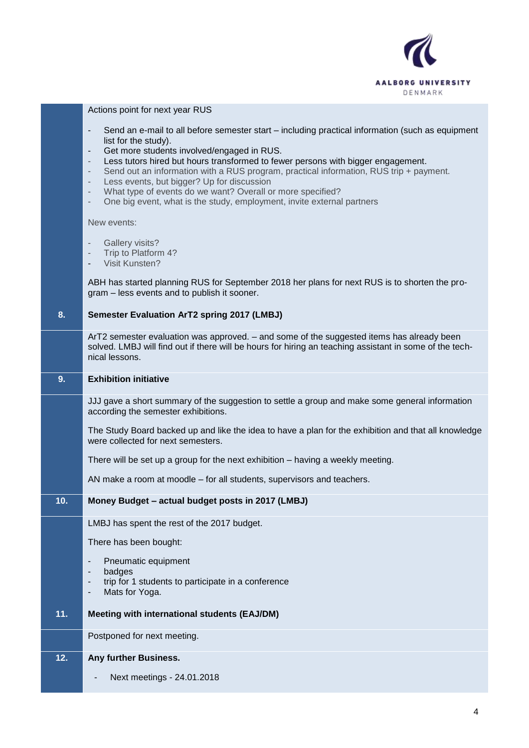

|     | Actions point for next year RUS                                                                                                                                                                                                                                                                                                                                                                                                                                                                                                                                                                                                                   |  |  |
|-----|---------------------------------------------------------------------------------------------------------------------------------------------------------------------------------------------------------------------------------------------------------------------------------------------------------------------------------------------------------------------------------------------------------------------------------------------------------------------------------------------------------------------------------------------------------------------------------------------------------------------------------------------------|--|--|
|     | Send an e-mail to all before semester start – including practical information (such as equipment<br>$\overline{\phantom{a}}$<br>list for the study).<br>Get more students involved/engaged in RUS.<br>٠<br>Less tutors hired but hours transformed to fewer persons with bigger engagement.<br>Send out an information with a RUS program, practical information, RUS trip + payment.<br>$\overline{\phantom{a}}$<br>Less events, but bigger? Up for discussion<br>$\qquad \qquad \blacksquare$<br>What type of events do we want? Overall or more specified?<br>٠<br>One big event, what is the study, employment, invite external partners<br>٠ |  |  |
|     | New events:                                                                                                                                                                                                                                                                                                                                                                                                                                                                                                                                                                                                                                       |  |  |
|     | <b>Gallery visits?</b><br>$\overline{\phantom{a}}$<br>Trip to Platform 4?<br>$\qquad \qquad \blacksquare$<br>Visit Kunsten?                                                                                                                                                                                                                                                                                                                                                                                                                                                                                                                       |  |  |
|     | ABH has started planning RUS for September 2018 her plans for next RUS is to shorten the pro-<br>gram - less events and to publish it sooner.                                                                                                                                                                                                                                                                                                                                                                                                                                                                                                     |  |  |
| 8.  | <b>Semester Evaluation ArT2 spring 2017 (LMBJ)</b>                                                                                                                                                                                                                                                                                                                                                                                                                                                                                                                                                                                                |  |  |
|     | ArT2 semester evaluation was approved. - and some of the suggested items has already been<br>solved. LMBJ will find out if there will be hours for hiring an teaching assistant in some of the tech-<br>nical lessons.                                                                                                                                                                                                                                                                                                                                                                                                                            |  |  |
| 9.  | <b>Exhibition initiative</b>                                                                                                                                                                                                                                                                                                                                                                                                                                                                                                                                                                                                                      |  |  |
|     |                                                                                                                                                                                                                                                                                                                                                                                                                                                                                                                                                                                                                                                   |  |  |
|     | JJJ gave a short summary of the suggestion to settle a group and make some general information<br>according the semester exhibitions.                                                                                                                                                                                                                                                                                                                                                                                                                                                                                                             |  |  |
|     | The Study Board backed up and like the idea to have a plan for the exhibition and that all knowledge<br>were collected for next semesters.                                                                                                                                                                                                                                                                                                                                                                                                                                                                                                        |  |  |
|     | There will be set up a group for the next exhibition - having a weekly meeting.                                                                                                                                                                                                                                                                                                                                                                                                                                                                                                                                                                   |  |  |
|     | AN make a room at moodle – for all students, supervisors and teachers.                                                                                                                                                                                                                                                                                                                                                                                                                                                                                                                                                                            |  |  |
| 10. | Money Budget - actual budget posts in 2017 (LMBJ)                                                                                                                                                                                                                                                                                                                                                                                                                                                                                                                                                                                                 |  |  |
|     | LMBJ has spent the rest of the 2017 budget.                                                                                                                                                                                                                                                                                                                                                                                                                                                                                                                                                                                                       |  |  |
|     | There has been bought:                                                                                                                                                                                                                                                                                                                                                                                                                                                                                                                                                                                                                            |  |  |
|     | Pneumatic equipment<br>-                                                                                                                                                                                                                                                                                                                                                                                                                                                                                                                                                                                                                          |  |  |
|     | badges<br>trip for 1 students to participate in a conference<br>Mats for Yoga.                                                                                                                                                                                                                                                                                                                                                                                                                                                                                                                                                                    |  |  |
| 11. | Meeting with international students (EAJ/DM)                                                                                                                                                                                                                                                                                                                                                                                                                                                                                                                                                                                                      |  |  |
|     | Postponed for next meeting.                                                                                                                                                                                                                                                                                                                                                                                                                                                                                                                                                                                                                       |  |  |
| 12. | Any further Business.                                                                                                                                                                                                                                                                                                                                                                                                                                                                                                                                                                                                                             |  |  |